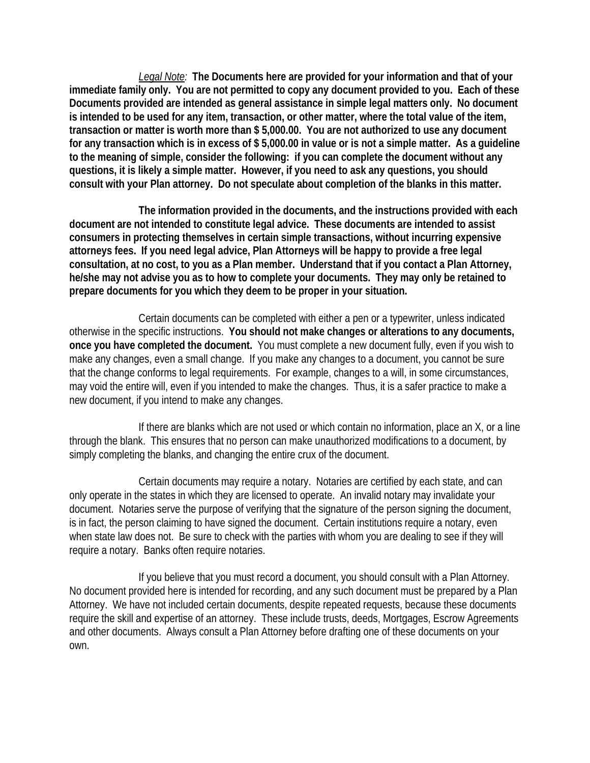*Legal Note:* **The Documents here are provided for your information and that of your immediate family only. You are not permitted to copy any document provided to you. Each of these Documents provided are intended as general assistance in simple legal matters only. No document is intended to be used for any item, transaction, or other matter, where the total value of the item, transaction or matter is worth more than \$ 5,000.00. You are not authorized to use any document for any transaction which is in excess of \$ 5,000.00 in value or is not a simple matter. As a guideline to the meaning of simple, consider the following: if you can complete the document without any questions, it is likely a simple matter. However, if you need to ask any questions, you should consult with your Plan attorney. Do not speculate about completion of the blanks in this matter.**

**The information provided in the documents, and the instructions provided with each document are not intended to constitute legal advice. These documents are intended to assist consumers in protecting themselves in certain simple transactions, without incurring expensive attorneys fees. If you need legal advice, Plan Attorneys will be happy to provide a free legal consultation, at no cost, to you as a Plan member. Understand that if you contact a Plan Attorney, he/she may not advise you as to how to complete your documents. They may only be retained to prepare documents for you which they deem to be proper in your situation.**

Certain documents can be completed with either a pen or a typewriter, unless indicated otherwise in the specific instructions. **You should not make changes or alterations to any documents, once you have completed the document.** You must complete a new document fully, even if you wish to make any changes, even a small change. If you make any changes to a document, you cannot be sure that the change conforms to legal requirements. For example, changes to a will, in some circumstances, may void the entire will, even if you intended to make the changes. Thus, it is a safer practice to make a new document, if you intend to make any changes.

If there are blanks which are not used or which contain no information, place an X, or a line through the blank. This ensures that no person can make unauthorized modifications to a document, by simply completing the blanks, and changing the entire crux of the document.

Certain documents may require a notary. Notaries are certified by each state, and can only operate in the states in which they are licensed to operate. An invalid notary may invalidate your document. Notaries serve the purpose of verifying that the signature of the person signing the document, is in fact, the person claiming to have signed the document. Certain institutions require a notary, even when state law does not. Be sure to check with the parties with whom you are dealing to see if they will require a notary. Banks often require notaries.

If you believe that you must record a document, you should consult with a Plan Attorney. No document provided here is intended for recording, and any such document must be prepared by a Plan Attorney. We have not included certain documents, despite repeated requests, because these documents require the skill and expertise of an attorney. These include trusts, deeds, Mortgages, Escrow Agreements and other documents. Always consult a Plan Attorney before drafting one of these documents on your own.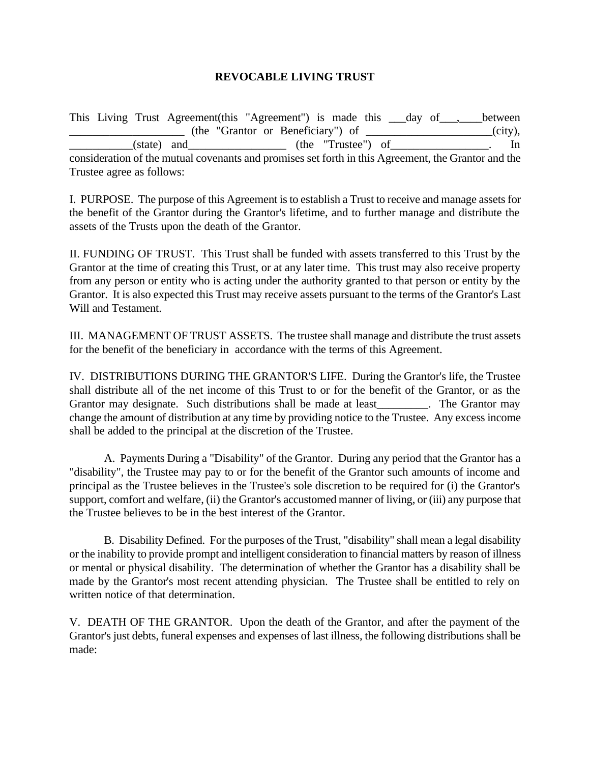## **REVOCABLE LIVING TRUST**

This Living Trust Agreement(this "Agreement") is made this \_\_\_day of\_\_\_,\_\_\_\_between \_\_\_\_\_\_\_\_\_\_\_\_\_\_\_\_\_\_\_\_ (the "Grantor or Beneficiary") of \_\_\_\_\_\_\_\_\_\_\_\_\_\_\_\_\_\_\_\_\_\_(city),  $_-(\text{state})$  and  $_-\text{model}$  (the "Trustee") of  $\text{I}_n$ consideration of the mutual covenants and promises set forth in this Agreement, the Grantor and the Trustee agree as follows:

I. PURPOSE. The purpose of this Agreement is to establish a Trust to receive and manage assets for the benefit of the Grantor during the Grantor's lifetime, and to further manage and distribute the assets of the Trusts upon the death of the Grantor.

II. FUNDING OF TRUST. This Trust shall be funded with assets transferred to this Trust by the Grantor at the time of creating this Trust, or at any later time. This trust may also receive property from any person or entity who is acting under the authority granted to that person or entity by the Grantor. It is also expected this Trust may receive assets pursuant to the terms of the Grantor's Last Will and Testament.

III. MANAGEMENT OF TRUST ASSETS. The trustee shall manage and distribute the trust assets for the benefit of the beneficiary in accordance with the terms of this Agreement.

IV. DISTRIBUTIONS DURING THE GRANTOR'S LIFE. During the Grantor's life, the Trustee shall distribute all of the net income of this Trust to or for the benefit of the Grantor, or as the Grantor may designate. Such distributions shall be made at least The Grantor may change the amount of distribution at any time by providing notice to the Trustee. Any excess income shall be added to the principal at the discretion of the Trustee.

A. Payments During a "Disability" of the Grantor. During any period that the Grantor has a "disability", the Trustee may pay to or for the benefit of the Grantor such amounts of income and principal as the Trustee believes in the Trustee's sole discretion to be required for (i) the Grantor's support, comfort and welfare, (ii) the Grantor's accustomed manner of living, or (iii) any purpose that the Trustee believes to be in the best interest of the Grantor.

B. Disability Defined. For the purposes of the Trust, "disability" shall mean a legal disability or the inability to provide prompt and intelligent consideration to financial matters by reason of illness or mental or physical disability. The determination of whether the Grantor has a disability shall be made by the Grantor's most recent attending physician. The Trustee shall be entitled to rely on written notice of that determination.

V. DEATH OF THE GRANTOR. Upon the death of the Grantor, and after the payment of the Grantor's just debts, funeral expenses and expenses of last illness, the following distributions shall be made: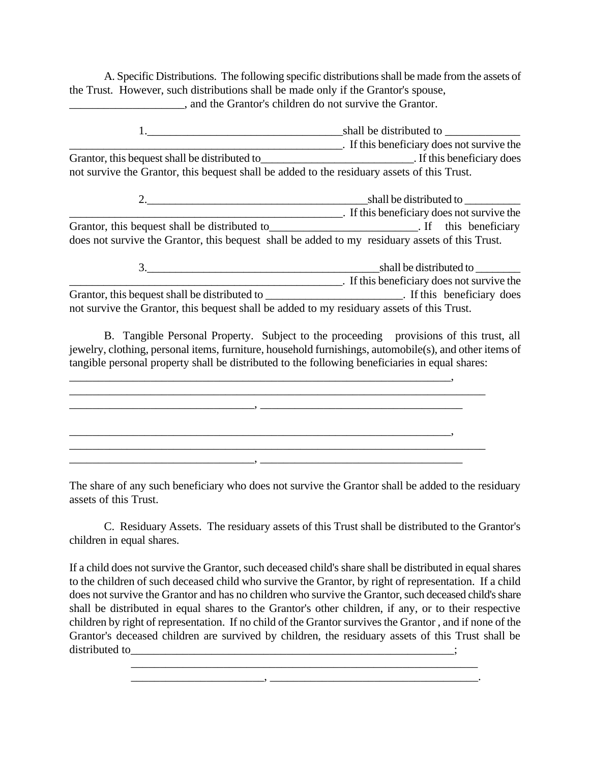A. Specific Distributions. The following specific distributions shall be made from the assets of the Trust. However, such distributions shall be made only if the Grantor's spouse, \_\_\_\_\_\_\_\_\_\_\_\_\_\_\_\_\_\_\_\_, and the Grantor's children do not survive the Grantor.

|                                                                                             | shall be distributed to                    |
|---------------------------------------------------------------------------------------------|--------------------------------------------|
|                                                                                             | . If this beneficiary does not survive the |
| Grantor, this bequest shall be distributed to                                               | . If this beneficiary does                 |
| not survive the Grantor, this bequest shall be added to the residuary assets of this Trust. |                                            |

2.  $\Box$ **EXECUTE:** If this beneficiary does not survive the Grantor, this bequest shall be distributed to \_\_\_\_\_\_\_\_\_\_\_\_\_\_\_\_\_\_\_\_\_\_\_\_\_\_. If this beneficiary does not survive the Grantor, this bequest shall be added to my residuary assets of this Trust.

3. **Example 2.1** If this beneficiary does not survive the Grantor, this bequest shall be distributed to \_\_\_\_\_\_\_\_\_\_\_\_\_\_\_\_\_\_\_\_\_\_\_\_. If this beneficiary does not survive the Grantor, this bequest shall be added to my residuary assets of this Trust.

B. Tangible Personal Property. Subject to the proceeding provisions of this trust, all jewelry, clothing, personal items, furniture, household furnishings, automobile(s), and other items of tangible personal property shall be distributed to the following beneficiaries in equal shares:

\_\_\_\_\_\_\_\_\_\_\_\_\_\_\_\_\_\_\_\_\_\_\_\_\_\_\_\_\_\_\_\_\_\_\_\_\_\_\_\_\_\_\_\_\_\_\_\_\_\_\_\_\_\_\_\_\_\_\_\_\_\_\_\_\_\_,

\_\_\_\_\_\_\_\_\_\_\_\_\_\_\_\_\_\_\_\_\_\_\_\_\_\_\_\_\_\_\_\_\_\_\_\_\_\_\_\_\_\_\_\_\_\_\_\_\_\_\_\_\_\_\_\_\_\_\_\_\_\_\_\_\_\_\_\_\_\_\_\_ \_\_\_\_\_\_\_\_\_\_\_\_\_\_\_\_\_\_\_\_\_\_\_\_\_\_\_\_\_\_\_\_, \_\_\_\_\_\_\_\_\_\_\_\_\_\_\_\_\_\_\_\_\_\_\_\_\_\_\_\_\_\_\_\_\_\_\_

\_\_\_\_\_\_\_\_\_\_\_\_\_\_\_\_\_\_\_\_\_\_\_\_\_\_\_\_\_\_\_\_\_\_\_\_\_\_\_\_\_\_\_\_\_\_\_\_\_\_\_\_\_\_\_\_\_\_\_\_\_\_\_\_\_\_\_\_\_\_\_\_ \_\_\_\_\_\_\_\_\_\_\_\_\_\_\_\_\_\_\_\_\_\_\_\_\_\_\_\_\_\_\_\_, \_\_\_\_\_\_\_\_\_\_\_\_\_\_\_\_\_\_\_\_\_\_\_\_\_\_\_\_\_\_\_\_\_\_\_

The share of any such beneficiary who does not survive the Grantor shall be added to the residuary assets of this Trust.

\_\_\_\_\_\_\_\_\_\_\_\_\_\_\_\_\_\_\_\_\_\_\_\_\_\_\_\_\_\_\_\_\_\_\_\_\_\_\_\_\_\_\_\_\_\_\_\_\_\_\_\_\_\_\_\_\_\_\_\_\_\_\_\_\_\_,

C. Residuary Assets. The residuary assets of this Trust shall be distributed to the Grantor's children in equal shares.

If a child does not survive the Grantor, such deceased child's share shall be distributed in equal shares to the children of such deceased child who survive the Grantor, by right of representation. If a child does not survive the Grantor and has no children who survive the Grantor, such deceased child's share shall be distributed in equal shares to the Grantor's other children, if any, or to their respective children by right of representation. If no child of the Grantor survives the Grantor , and if none of the Grantor's deceased children are survived by children, the residuary assets of this Trust shall be  $\text{distributed to} \quad ;$ 

\_\_\_\_\_\_\_\_\_\_\_\_\_\_\_\_\_\_\_\_\_\_\_\_\_\_\_\_\_\_\_\_\_\_\_\_\_\_\_\_\_\_\_\_\_\_\_\_\_\_\_\_\_\_\_\_\_\_\_\_

\_\_\_\_\_\_\_\_\_\_\_\_\_\_\_\_\_\_\_\_\_\_\_, \_\_\_\_\_\_\_\_\_\_\_\_\_\_\_\_\_\_\_\_\_\_\_\_\_\_\_\_\_\_\_\_\_\_\_\_.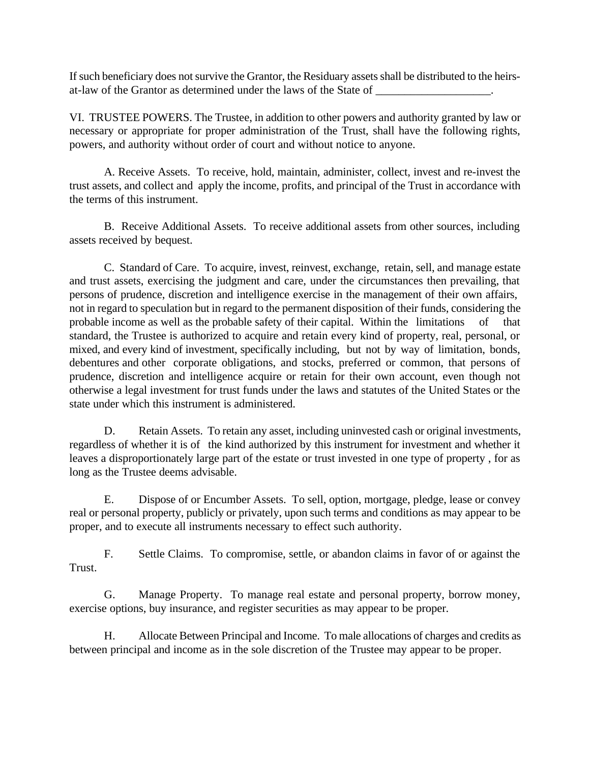If such beneficiary does not survive the Grantor, the Residuary assets shall be distributed to the heirsat-law of the Grantor as determined under the laws of the State of \_\_\_\_\_\_\_\_\_\_\_\_\_\_

VI. TRUSTEE POWERS. The Trustee, in addition to other powers and authority granted by law or necessary or appropriate for proper administration of the Trust, shall have the following rights, powers, and authority without order of court and without notice to anyone.

A. Receive Assets. To receive, hold, maintain, administer, collect, invest and re-invest the trust assets, and collect and apply the income, profits, and principal of the Trust in accordance with the terms of this instrument.

B. Receive Additional Assets. To receive additional assets from other sources, including assets received by bequest.

C. Standard of Care. To acquire, invest, reinvest, exchange, retain, sell, and manage estate and trust assets, exercising the judgment and care, under the circumstances then prevailing, that persons of prudence, discretion and intelligence exercise in the management of their own affairs, not in regard to speculation but in regard to the permanent disposition of their funds, considering the probable income as well as the probable safety of their capital. Within the limitations of that standard, the Trustee is authorized to acquire and retain every kind of property, real, personal, or mixed, and every kind of investment, specifically including, but not by way of limitation, bonds, debentures and other corporate obligations, and stocks, preferred or common, that persons of prudence, discretion and intelligence acquire or retain for their own account, even though not otherwise a legal investment for trust funds under the laws and statutes of the United States or the state under which this instrument is administered.

D. Retain Assets. To retain any asset, including uninvested cash or original investments, regardless of whether it is of the kind authorized by this instrument for investment and whether it leaves a disproportionately large part of the estate or trust invested in one type of property , for as long as the Trustee deems advisable.

 E. Dispose of or Encumber Assets. To sell, option, mortgage, pledge, lease or convey real or personal property, publicly or privately, upon such terms and conditions as may appear to be proper, and to execute all instruments necessary to effect such authority.

 F. Settle Claims. To compromise, settle, or abandon claims in favor of or against the Trust.

 G. Manage Property. To manage real estate and personal property, borrow money, exercise options, buy insurance, and register securities as may appear to be proper.

 H. Allocate Between Principal and Income. To male allocations of charges and credits as between principal and income as in the sole discretion of the Trustee may appear to be proper.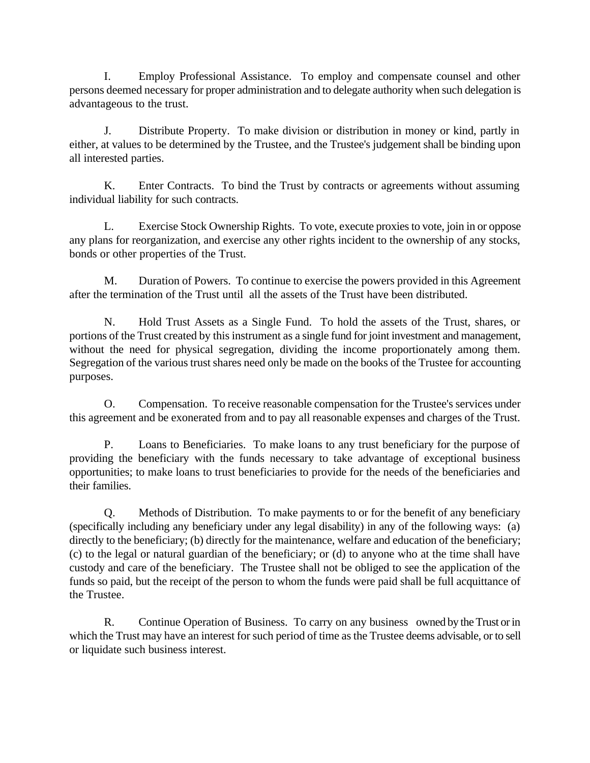I. Employ Professional Assistance. To employ and compensate counsel and other persons deemed necessary for proper administration and to delegate authority when such delegation is advantageous to the trust.

 J. Distribute Property. To make division or distribution in money or kind, partly in either, at values to be determined by the Trustee, and the Trustee's judgement shall be binding upon all interested parties.

 K. Enter Contracts. To bind the Trust by contracts or agreements without assuming individual liability for such contracts.

 L. Exercise Stock Ownership Rights. To vote, execute proxies to vote, join in or oppose any plans for reorganization, and exercise any other rights incident to the ownership of any stocks, bonds or other properties of the Trust.

 M. Duration of Powers. To continue to exercise the powers provided in this Agreement after the termination of the Trust until all the assets of the Trust have been distributed.

 N. Hold Trust Assets as a Single Fund. To hold the assets of the Trust, shares, or portions of the Trust created by this instrument as a single fund for joint investment and management, without the need for physical segregation, dividing the income proportionately among them. Segregation of the various trust shares need only be made on the books of the Trustee for accounting purposes.

 O. Compensation. To receive reasonable compensation for the Trustee's services under this agreement and be exonerated from and to pay all reasonable expenses and charges of the Trust.

 P. Loans to Beneficiaries. To make loans to any trust beneficiary for the purpose of providing the beneficiary with the funds necessary to take advantage of exceptional business opportunities; to make loans to trust beneficiaries to provide for the needs of the beneficiaries and their families.

 Q. Methods of Distribution. To make payments to or for the benefit of any beneficiary (specifically including any beneficiary under any legal disability) in any of the following ways: (a) directly to the beneficiary; (b) directly for the maintenance, welfare and education of the beneficiary; (c) to the legal or natural guardian of the beneficiary; or (d) to anyone who at the time shall have custody and care of the beneficiary. The Trustee shall not be obliged to see the application of the funds so paid, but the receipt of the person to whom the funds were paid shall be full acquittance of the Trustee.

 R. Continue Operation of Business. To carry on any business owned by the Trust or in which the Trust may have an interest for such period of time as the Trustee deems advisable, or to sell or liquidate such business interest.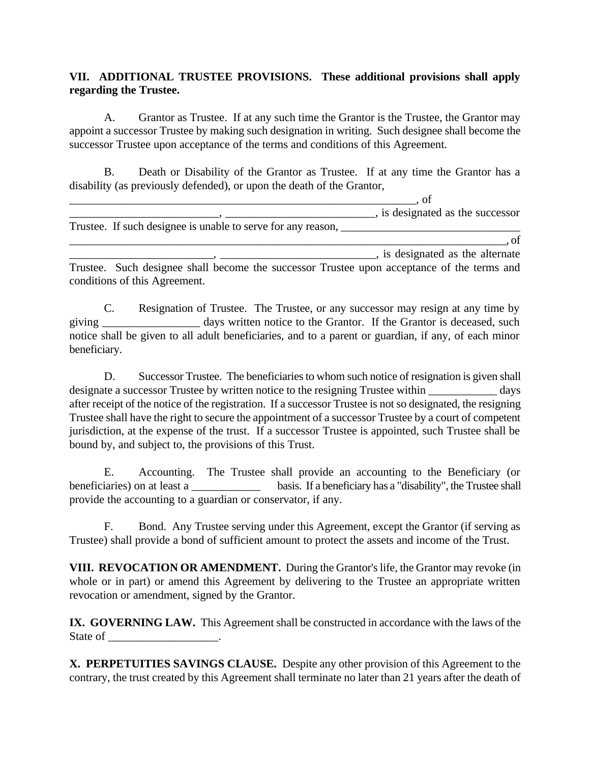## **VII. ADDITIONAL TRUSTEE PROVISIONS. These additional provisions shall apply regarding the Trustee.**

 A. Grantor as Trustee. If at any such time the Grantor is the Trustee, the Grantor may appoint a successor Trustee by making such designation in writing. Such designee shall become the successor Trustee upon acceptance of the terms and conditions of this Agreement.

 B. Death or Disability of the Grantor as Trustee. If at any time the Grantor has a disability (as previously defended), or upon the death of the Grantor,

\_\_\_\_\_\_\_\_\_\_\_\_\_\_\_\_\_\_\_\_\_\_\_\_\_\_\_\_\_\_\_\_\_\_\_\_\_\_\_\_\_\_\_\_\_\_\_\_\_\_\_\_\_\_\_\_\_\_\_\_, of  $\Box$ Trustee. If such designee is unable to serve for any reason, \_\_\_\_\_\_\_\_\_\_\_\_\_\_\_\_\_\_\_\_\_\_\_\_\_\_\_\_\_\_\_  $\frac{1}{2}$  ,  $\frac{1}{2}$  ,  $\frac{1}{2}$  ,  $\frac{1}{2}$  ,  $\frac{1}{2}$  ,  $\frac{1}{2}$  ,  $\frac{1}{2}$  ,  $\frac{1}{2}$  ,  $\frac{1}{2}$  ,  $\frac{1}{2}$  ,  $\frac{1}{2}$  ,  $\frac{1}{2}$  ,  $\frac{1}{2}$  ,  $\frac{1}{2}$  ,  $\frac{1}{2}$  ,  $\frac{1}{2}$  ,  $\frac{1}{2}$  ,  $\frac{1}{2}$  ,  $\frac{1$ 

\_\_\_\_\_\_\_\_\_\_\_\_\_\_\_\_\_\_\_\_\_\_\_\_\_, \_\_\_\_\_\_\_\_\_\_\_\_\_\_\_\_\_\_\_\_\_\_\_\_\_\_\_, is designated as the alternate

Trustee. Such designee shall become the successor Trustee upon acceptance of the terms and conditions of this Agreement.

C. Resignation of Trustee. The Trustee, or any successor may resign at any time by giving days written notice to the Grantor. If the Grantor is deceased, such notice shall be given to all adult beneficiaries, and to a parent or guardian, if any, of each minor beneficiary.

D. Successor Trustee. The beneficiaries to whom such notice of resignation is given shall designate a successor Trustee by written notice to the resigning Trustee within \_\_\_\_\_\_\_\_\_\_\_ days after receipt of the notice of the registration. If a successor Trustee is not so designated, the resigning Trustee shall have the right to secure the appointment of a successor Trustee by a court of competent jurisdiction, at the expense of the trust. If a successor Trustee is appointed, such Trustee shall be bound by, and subject to, the provisions of this Trust.

 E. Accounting. The Trustee shall provide an accounting to the Beneficiary (or beneficiaries) on at least a \_\_\_\_\_\_\_\_\_\_\_\_\_\_\_\_ basis. If a beneficiary has a "disability", the Trustee shall provide the accounting to a guardian or conservator, if any.

 F. Bond. Any Trustee serving under this Agreement, except the Grantor (if serving as Trustee) shall provide a bond of sufficient amount to protect the assets and income of the Trust.

**VIII. REVOCATION OR AMENDMENT.** During the Grantor's life, the Grantor may revoke (in whole or in part) or amend this Agreement by delivering to the Trustee an appropriate written revocation or amendment, signed by the Grantor.

**IX. GOVERNING LAW.** This Agreement shall be constructed in accordance with the laws of the State of the contract of the state of the state of the state of the state of the state of the state of the state of the state of the state of the state of the state of the state of the state of the state of the state of th

**X. PERPETUITIES SAVINGS CLAUSE.** Despite any other provision of this Agreement to the contrary, the trust created by this Agreement shall terminate no later than 21 years after the death of